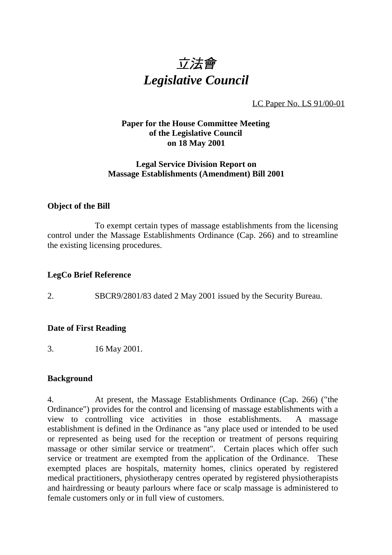

LC Paper No. LS 91/00-01

# **Paper for the House Committee Meeting of the Legislative Council on 18 May 2001**

## **Legal Service Division Report on Massage Establishments (Amendment) Bill 2001**

### **Object of the Bill**

To exempt certain types of massage establishments from the licensing control under the Massage Establishments Ordinance (Cap. 266) and to streamline the existing licensing procedures.

### **LegCo Brief Reference**

2. SBCR9/2801/83 dated 2 May 2001 issued by the Security Bureau.

### **Date of First Reading**

3. 16 May 2001.

### **Background**

4. At present, the Massage Establishments Ordinance (Cap. 266) ("the Ordinance") provides for the control and licensing of massage establishments with a view to controlling vice activities in those establishments. A massage establishment is defined in the Ordinance as "any place used or intended to be used or represented as being used for the reception or treatment of persons requiring massage or other similar service or treatment". Certain places which offer such service or treatment are exempted from the application of the Ordinance. These exempted places are hospitals, maternity homes, clinics operated by registered medical practitioners, physiotherapy centres operated by registered physiotherapists and hairdressing or beauty parlours where face or scalp massage is administered to female customers only or in full view of customers.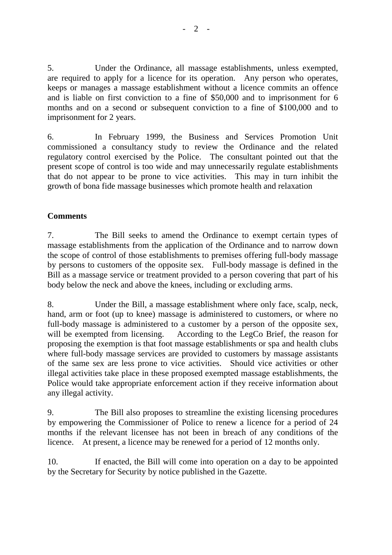5. Under the Ordinance, all massage establishments, unless exempted, are required to apply for a licence for its operation. Any person who operates, keeps or manages a massage establishment without a licence commits an offence and is liable on first conviction to a fine of \$50,000 and to imprisonment for 6 months and on a second or subsequent conviction to a fine of \$100,000 and to imprisonment for 2 years.

6. In February 1999, the Business and Services Promotion Unit commissioned a consultancy study to review the Ordinance and the related regulatory control exercised by the Police. The consultant pointed out that the present scope of control is too wide and may unnecessarily regulate establishments that do not appear to be prone to vice activities. This may in turn inhibit the growth of bona fide massage businesses which promote health and relaxation

# **Comments**

7. The Bill seeks to amend the Ordinance to exempt certain types of massage establishments from the application of the Ordinance and to narrow down the scope of control of those establishments to premises offering full-body massage by persons to customers of the opposite sex. Full-body massage is defined in the Bill as a massage service or treatment provided to a person covering that part of his body below the neck and above the knees, including or excluding arms.

8. Under the Bill, a massage establishment where only face, scalp, neck, hand, arm or foot (up to knee) massage is administered to customers, or where no full-body massage is administered to a customer by a person of the opposite sex, will be exempted from licensing. According to the LegCo Brief, the reason for proposing the exemption is that foot massage establishments or spa and health clubs where full-body massage services are provided to customers by massage assistants of the same sex are less prone to vice activities. Should vice activities or other illegal activities take place in these proposed exempted massage establishments, the Police would take appropriate enforcement action if they receive information about any illegal activity.

9. The Bill also proposes to streamline the existing licensing procedures by empowering the Commissioner of Police to renew a licence for a period of 24 months if the relevant licensee has not been in breach of any conditions of the licence. At present, a licence may be renewed for a period of 12 months only.

10. If enacted, the Bill will come into operation on a day to be appointed by the Secretary for Security by notice published in the Gazette.